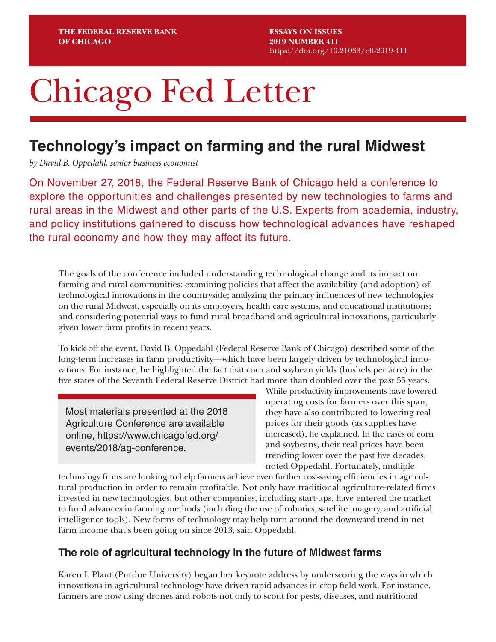**ESSAYS ON ISSUES 2019 NUMBER 411** <https://doi.org/10.21033/cfl-2019-411>

# Chicago Fed Letter

## **Technology's impact on farming and the rural Midwest**

*by David B. Oppedahl, senior business economist*

On November 27, 2018, the Federal Reserve Bank of Chicago held a conference to explore the opportunities and challenges presented by new technologies to farms and rural areas in the Midwest and other parts of the U.S. Experts from academia, industry, and policy institutions gathered to discuss how technological advances have reshaped the rural economy and how they may affect its future.

The goals of the conference included understanding technological change and its impact on farming and rural communities; examining policies that affect the availability (and adoption) of technological innovations in the countryside; analyzing the primary influences of new technologies on the rural Midwest, especially on its employers, health care systems, and educational institutions; and considering potential ways to fund rural broadband and agricultural innovations, particularly given lower farm profits in recent years.

To kick off the event, David B. Oppedahl (Federal Reserve Bank of Chicago) described some of the long-term increases in farm productivity—which have been largely driven by technological innovations. For instance, he highlighted the fact that corn and soybean yields (bushels per acre) in the five states of the Seventh Federal Reserve District had more than doubled over the past 55 years.<sup>1</sup>

Most materials presented at the 2018 Agriculture Conference are available online, [https://www.chicagofed.org/](https://www.chicagofed.org/events/2018/ag-conference) [events/2018/ag-conference.](https://www.chicagofed.org/events/2018/ag-conference)

While productivity improvements have lowered operating costs for farmers over this span, they have also contributed to lowering real prices for their goods (as supplies have increased), he explained. In the cases of corn and soybeans, their real prices have been trending lower over the past five decades, noted Oppedahl. Fortunately, multiple

technology firms are looking to help farmers achieve even further cost-saving efficiencies in agricultural production in order to remain profitable. Not only have traditional agriculture-related firms invested in new technologies, but other companies, including start-ups, have entered the market to fund advances in farming methods (including the use of robotics, satellite imagery, and artificial intelligence tools). New forms of technology may help turn around the downward trend in net farm income that's been going on since 2013, said Oppedahl.

#### **The role of agricultural technology in the future of Midwest farms**

Karen I. Plaut (Purdue University) began her keynote address by underscoring the ways in which innovations in agricultural technology have driven rapid advances in crop field work. For instance, farmers are now using drones and robots not only to scout for pests, diseases, and nutritional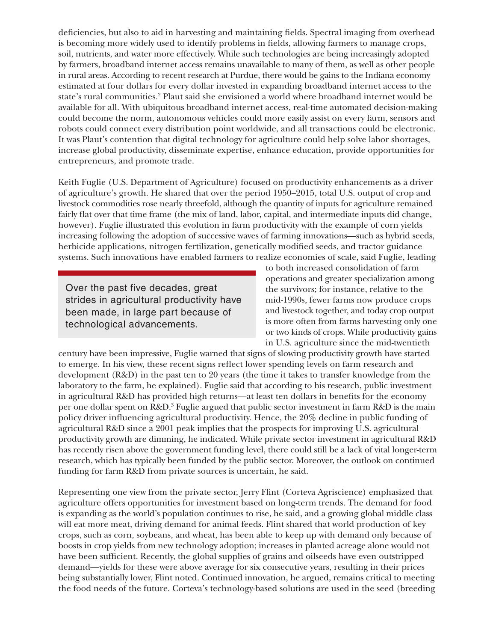deficiencies, but also to aid in harvesting and maintaining fields. Spectral imaging from overhead is becoming more widely used to identify problems in fields, allowing farmers to manage crops, soil, nutrients, and water more effectively. While such technologies are being increasingly adopted by farmers, broadband internet access remains unavailable to many of them, as well as other people in rural areas. According to recent research at Purdue, there would be gains to the Indiana economy estimated at four dollars for every dollar invested in expanding broadband internet access to the state's rural communities.2 Plaut said she envisioned a world where broadband internet would be available for all. With ubiquitous broadband internet access, real-time automated decision-making could become the norm, autonomous vehicles could more easily assist on every farm, sensors and robots could connect every distribution point worldwide, and all transactions could be electronic. It was Plaut's contention that digital technology for agriculture could help solve labor shortages, increase global productivity, disseminate expertise, enhance education, provide opportunities for entrepreneurs, and promote trade.

Keith Fuglie (U.S. Department of Agriculture) focused on productivity enhancements as a driver of agriculture's growth. He shared that over the period 1950–2015, total U.S. output of crop and livestock commodities rose nearly threefold, although the quantity of inputs for agriculture remained fairly flat over that time frame (the mix of land, labor, capital, and intermediate inputs did change, however). Fuglie illustrated this evolution in farm productivity with the example of corn yields increasing following the adoption of successive waves of farming innovations—such as hybrid seeds, herbicide applications, nitrogen fertilization, genetically modified seeds, and tractor guidance systems. Such innovations have enabled farmers to realize economies of scale, said Fuglie, leading

Over the past five decades, great strides in agricultural productivity have been made, in large part because of technological advancements.

to both increased consolidation of farm operations and greater specialization among the survivors; for instance, relative to the mid-1990s, fewer farms now produce crops and livestock together, and today crop output is more often from farms harvesting only one or two kinds of crops. While productivity gains in U.S. agriculture since the mid-twentieth

century have been impressive, Fuglie warned that signs of slowing productivity growth have started to emerge. In his view, these recent signs reflect lower spending levels on farm research and development (R&D) in the past ten to 20 years (the time it takes to transfer knowledge from the laboratory to the farm, he explained). Fuglie said that according to his research, public investment in agricultural R&D has provided high returns—at least ten dollars in benefits for the economy per one dollar spent on R&D.<sup>3</sup> Fuglie argued that public sector investment in farm R&D is the main policy driver influencing agricultural productivity. Hence, the 20% decline in public funding of agricultural R&D since a 2001 peak implies that the prospects for improving U.S. agricultural productivity growth are dimming, he indicated. While private sector investment in agricultural R&D has recently risen above the government funding level, there could still be a lack of vital longer-term research, which has typically been funded by the public sector. Moreover, the outlook on continued funding for farm R&D from private sources is uncertain, he said.

Representing one view from the private sector, Jerry Flint (Corteva Agriscience) emphasized that agriculture offers opportunities for investment based on long-term trends. The demand for food is expanding as the world's population continues to rise, he said, and a growing global middle class will eat more meat, driving demand for animal feeds. Flint shared that world production of key crops, such as corn, soybeans, and wheat, has been able to keep up with demand only because of boosts in crop yields from new technology adoption; increases in planted acreage alone would not have been sufficient. Recently, the global supplies of grains and oilseeds have even outstripped demand—yields for these were above average for six consecutive years, resulting in their prices being substantially lower, Flint noted. Continued innovation, he argued, remains critical to meeting the food needs of the future. Corteva's technology-based solutions are used in the seed (breeding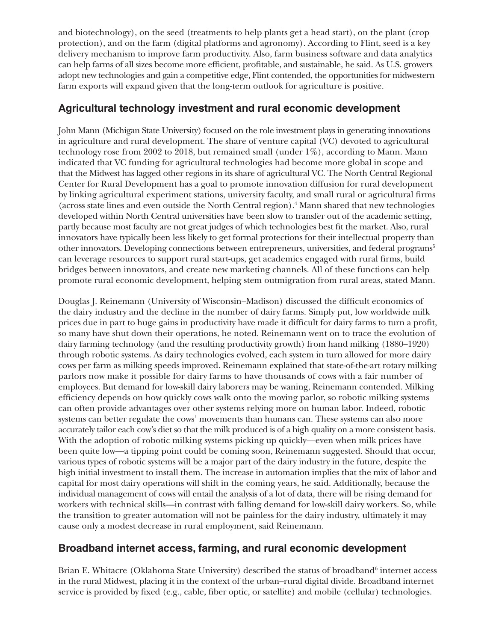and biotechnology), on the seed (treatments to help plants get a head start), on the plant (crop protection), and on the farm (digital platforms and agronomy). According to Flint, seed is a key delivery mechanism to improve farm productivity. Also, farm business software and data analytics can help farms of all sizes become more efficient, profitable, and sustainable, he said. As U.S. growers adopt new technologies and gain a competitive edge, Flint contended, the opportunities for midwestern farm exports will expand given that the long-term outlook for agriculture is positive.

#### **Agricultural technology investment and rural economic development**

John Mann (Michigan State University) focused on the role investment plays in generating innovations in agriculture and rural development. The share of venture capital (VC) devoted to agricultural technology rose from 2002 to 2018, but remained small (under 1%), according to Mann. Mann indicated that VC funding for agricultural technologies had become more global in scope and that the Midwest has lagged other regions in its share of agricultural VC. The North Central Regional Center for Rural Development has a goal to promote innovation diffusion for rural development by linking agricultural experiment stations, university faculty, and small rural or agricultural firms (across state lines and even outside the North Central region).4 Mann shared that new technologies developed within North Central universities have been slow to transfer out of the academic setting, partly because most faculty are not great judges of which technologies best fit the market. Also, rural innovators have typically been less likely to get formal protections for their intellectual property than other innovators. Developing connections between entrepreneurs, universities, and federal programs<sup>5</sup> can leverage resources to support rural start-ups, get academics engaged with rural firms, build bridges between innovators, and create new marketing channels. All of these functions can help promote rural economic development, helping stem outmigration from rural areas, stated Mann.

Douglas J. Reinemann (University of Wisconsin–Madison) discussed the difficult economics of the dairy industry and the decline in the number of dairy farms. Simply put, low worldwide milk prices due in part to huge gains in productivity have made it difficult for dairy farms to turn a profit, so many have shut down their operations, he noted. Reinemann went on to trace the evolution of dairy farming technology (and the resulting productivity growth) from hand milking (1880–1920) through robotic systems. As dairy technologies evolved, each system in turn allowed for more dairy cows per farm as milking speeds improved. Reinemann explained that state-of-the-art rotary milking parlors now make it possible for dairy farms to have thousands of cows with a fair number of employees. But demand for low-skill dairy laborers may be waning, Reinemann contended. Milking efficiency depends on how quickly cows walk onto the moving parlor, so robotic milking systems can often provide advantages over other systems relying more on human labor. Indeed, robotic systems can better regulate the cows' movements than humans can. These systems can also more accurately tailor each cow's diet so that the milk produced is of a high quality on a more consistent basis. With the adoption of robotic milking systems picking up quickly—even when milk prices have been quite low—a tipping point could be coming soon, Reinemann suggested. Should that occur, various types of robotic systems will be a major part of the dairy industry in the future, despite the high initial investment to install them. The increase in automation implies that the mix of labor and capital for most dairy operations will shift in the coming years, he said. Additionally, because the individual management of cows will entail the analysis of a lot of data, there will be rising demand for workers with technical skills—in contrast with falling demand for low-skill dairy workers. So, while the transition to greater automation will not be painless for the dairy industry, ultimately it may cause only a modest decrease in rural employment, said Reinemann.

### **Broadband internet access, farming, and rural economic development**

Brian E. Whitacre (Oklahoma State University) described the status of broadband<sup>6</sup> internet access in the rural Midwest, placing it in the context of the urban–rural digital divide. Broadband internet service is provided by fixed (e.g., cable, fiber optic, or satellite) and mobile (cellular) technologies.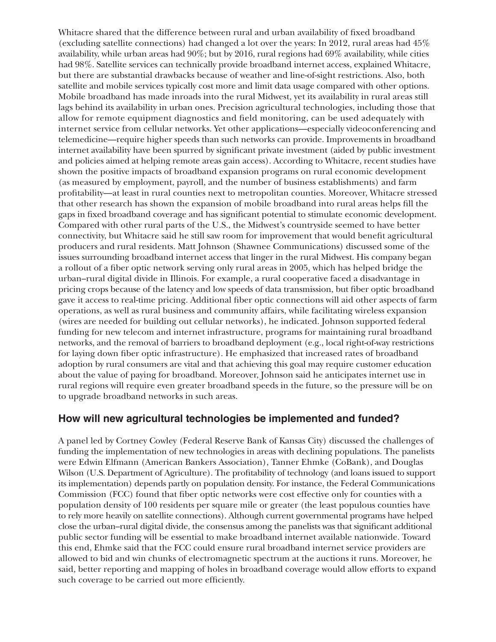Whitacre shared that the difference between rural and urban availability of fixed broadband (excluding satellite connections) had changed a lot over the years: In 2012, rural areas had 45% availability, while urban areas had 90%; but by 2016, rural regions had 69% availability, while cities had 98%. Satellite services can technically provide broadband internet access, explained Whitacre, but there are substantial drawbacks because of weather and line-of-sight restrictions. Also, both satellite and mobile services typically cost more and limit data usage compared with other options. Mobile broadband has made inroads into the rural Midwest, yet its availability in rural areas still lags behind its availability in urban ones. Precision agricultural technologies, including those that allow for remote equipment diagnostics and field monitoring, can be used adequately with internet service from cellular networks. Yet other applications—especially videoconferencing and telemedicine—require higher speeds than such networks can provide. Improvements in broadband internet availability have been spurred by significant private investment (aided by public investment and policies aimed at helping remote areas gain access). According to Whitacre, recent studies have shown the positive impacts of broadband expansion programs on rural economic development (as measured by employment, payroll, and the number of business establishments) and farm profitability—at least in rural counties next to metropolitan counties. Moreover, Whitacre stressed that other research has shown the expansion of mobile broadband into rural areas helps fill the gaps in fixed broadband coverage and has significant potential to stimulate economic development. Compared with other rural parts of the U.S., the Midwest's countryside seemed to have better connectivity, but Whitacre said he still saw room for improvement that would benefit agricultural producers and rural residents. Matt Johnson (Shawnee Communications) discussed some of the issues surrounding broadband internet access that linger in the rural Midwest. His company began a rollout of a fiber optic network serving only rural areas in 2005, which has helped bridge the urban–rural digital divide in Illinois. For example, a rural cooperative faced a disadvantage in pricing crops because of the latency and low speeds of data transmission, but fiber optic broadband gave it access to real-time pricing. Additional fiber optic connections will aid other aspects of farm operations, as well as rural business and community affairs, while facilitating wireless expansion (wires are needed for building out cellular networks), he indicated. Johnson supported federal funding for new telecom and internet infrastructure, programs for maintaining rural broadband networks, and the removal of barriers to broadband deployment (e.g., local right-of-way restrictions for laying down fiber optic infrastructure). He emphasized that increased rates of broadband adoption by rural consumers are vital and that achieving this goal may require customer education about the value of paying for broadband. Moreover, Johnson said he anticipates internet use in rural regions will require even greater broadband speeds in the future, so the pressure will be on to upgrade broadband networks in such areas.

#### **How will new agricultural technologies be implemented and funded?**

A panel led by Cortney Cowley (Federal Reserve Bank of Kansas City) discussed the challenges of funding the implementation of new technologies in areas with declining populations. The panelists were Edwin Elfmann (American Bankers Association), Tanner Ehmke (CoBank), and Douglas Wilson (U.S. Department of Agriculture). The profitability of technology (and loans issued to support its implementation) depends partly on population density. For instance, the Federal Communications Commission (FCC) found that fiber optic networks were cost effective only for counties with a population density of 100 residents per square mile or greater (the least populous counties have to rely more heavily on satellite connections). Although current governmental programs have helped close the urban–rural digital divide, the consensus among the panelists was that significant additional public sector funding will be essential to make broadband internet available nationwide. Toward this end, Ehmke said that the FCC could ensure rural broadband internet service providers are allowed to bid and win chunks of electromagnetic spectrum at the auctions it runs. Moreover, he said, better reporting and mapping of holes in broadband coverage would allow efforts to expand such coverage to be carried out more efficiently.